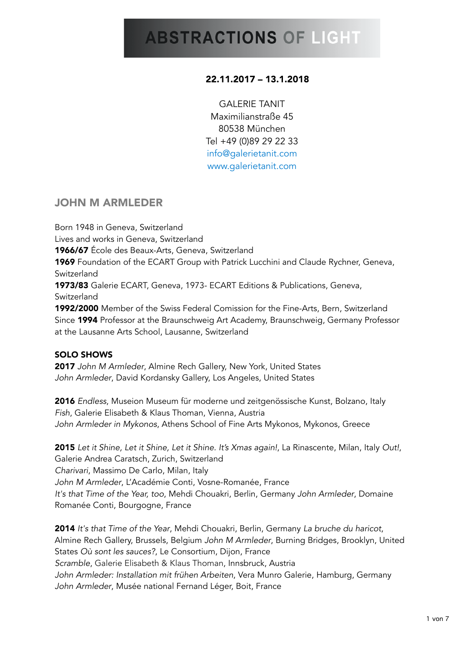## 22.11.2017 – 13.1.2018

GALERIE TANIT Maximilianstraße 45 80538 München Tel +49 (0)89 29 22 33 [info@galerietanit.com](mailto:info@galerietanit.com) [www.galerietanit.com](http://www.galerietanit.com)

## JOHN M ARMLEDER

Born 1948 in Geneva, Switzerland Lives and works in Geneva, Switzerland 1966/67 École des Beaux-Arts, Geneva, Switzerland **1969** Foundation of the ECART Group with Patrick Lucchini and Claude Rychner, Geneva, Switzerland 1973/83 Galerie ECART, Geneva, 1973- ECART Editions & Publications, Geneva, Switzerland 1992/2000 Member of the Swiss Federal Comission for the Fine-Arts, Bern, Switzerland Since 1994 Professor at the Braunschweig Art Academy, Braunschweig, Germany Professor at the Lausanne Arts School, Lausanne, Switzerland

## SOLO SHOWS

2017 *John M Armleder*, Almine Rech Gallery, New York, United States *John Armleder*, David Kordansky Gallery, Los Angeles, United States

2016 *Endless*, Museion Museum für moderne und zeitgenössische Kunst, Bolzano, Italy *Fish*, Galerie Elisabeth & Klaus Thoman, Vienna, Austria *John Armleder in Mykonos*, Athens School of Fine Arts Mykonos, Mykonos, Greece

2015 *Let it Shine, Let it Shine, Let it Shine. It's Xmas again!*, La Rinascente, Milan, Italy *Out!*, Galerie Andrea Caratsch, Zurich, Switzerland *Charivari*, Massimo De Carlo, Milan, Italy *John M Armleder*, L'Académie Conti, Vosne-Romanée, France *It's that Time of the Year, too*, Mehdi Chouakri, Berlin, Germany *John Armleder*, Domaine Romanée Conti, Bourgogne, France

2014 *It's that Time of the Year*, Mehdi Chouakri, Berlin, Germany *La bruche du haricot*, Almine Rech Gallery, Brussels, Belgium *John M Armleder*, Burning Bridges, Brooklyn, United States *Où sont les sauces?*, Le Consortium, Dijon, France *Scramble*, Galerie Elisabeth & Klaus Thoman, Innsbruck, Austria *John Armleder: Installation mit frühen Arbeiten*, Vera Munro Galerie, Hamburg, Germany *John Armleder*, Musée national Fernand Léger, Boit, France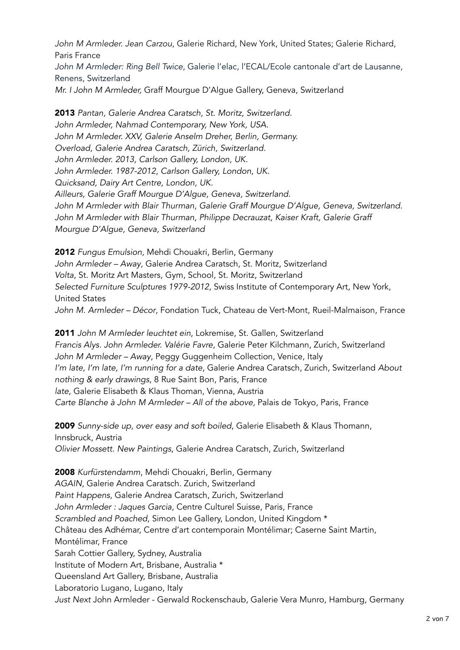*John M Armleder. Jean Carzou*, Galerie Richard, New York, United States; Galerie Richard, Paris France *John M Armleder: Ring Bell Twice*, Galerie l'elac, l'ECAL/Ecole cantonale d'art de Lausanne, Renens, Switzerland *Mr. I John M Armleder,* Graff Mourgue D'Algue Gallery, Geneva, Switzerland

2013 *Pantan, Galerie Andrea Caratsch, St. Moritz, Switzerland. John Armleder, Nahmad Contemporary, New York, USA. John M Armleder. XXV, Galerie Anselm Dreher, Berlin, Germany. Overload, Galerie Andrea Caratsch, Zürich, Switzerland. John Armleder. 2013, Carlson Gallery, London, UK. John Armleder. 1987-2012, Carlson Gallery, London, UK. Quicksand, Dairy Art Centre, London, UK. Ailleurs, Galerie Graff Mourgue D'Algue, Geneva, Switzerland.*  John M Armleder with Blair Thurman, Galerie Graff Mourgue D'Algue, Geneva, Switzerland. *John M Armleder with Blair Thurman, Philippe Decrauzat, Kaiser Kraft, Galerie Graff Mourgue D'Algue, Geneva, Switzerland* 

2012 *Fungus Emulsion,* Mehdi Chouakri, Berlin, Germany *John Armleder – Away*, Galerie Andrea Caratsch, St. Moritz, Switzerland *Volta*, St. Moritz Art Masters, Gym, School, St. Moritz, Switzerland *Selected Furniture Sculptures 1979-2012*, Swiss Institute of Contemporary Art, New York, United States *John M. Armleder – Décor*, Fondation Tuck, Chateau de Vert-Mont, Rueil-Malmaison, France

2011 *John M Armleder leuchtet ein*, Lokremise, St. Gallen, Switzerland *Francis Alys. John Armleder. Valérie Favre*, Galerie Peter Kilchmann, Zurich, Switzerland *John M Armleder – Away*, Peggy Guggenheim Collection, Venice, Italy *I'm late, I'm late, I'm running for a date*, Galerie Andrea Caratsch, Zurich, Switzerland *About nothing & early drawings*, 8 Rue Saint Bon, Paris, France *late*, Galerie Elisabeth & Klaus Thoman, Vienna, Austria *Carte Blanche à John M Armleder – All of the above*, Palais de Tokyo, Paris, France

2009 *Sunny-side up, over easy and soft boiled*, Galerie Elisabeth & Klaus Thomann, Innsbruck, Austria *Olivier Mossett. New Paintings*, Galerie Andrea Caratsch, Zurich, Switzerland

2008 *Kurfürstendamm*, Mehdi Chouakri, Berlin, Germany *AGAIN*, Galerie Andrea Caratsch. Zurich, Switzerland *Paint Happens*, Galerie Andrea Caratsch, Zurich, Switzerland *John Armleder : Jaques Garcia*, Centre Culturel Suisse, Paris, France *Scrambled and Poached*, Simon Lee Gallery, London, United Kingdom \* Château des Adhémar, Centre d'art contemporain Montélimar; Caserne Saint Martin, Montélimar, France Sarah Cottier Gallery, Sydney, Australia Institute of Modern Art, Brisbane, Australia \* Queensland Art Gallery, Brisbane, Australia Laboratorio Lugano, Lugano, Italy *Just Next* John Armleder - Gerwald Rockenschaub, Galerie Vera Munro, Hamburg, Germany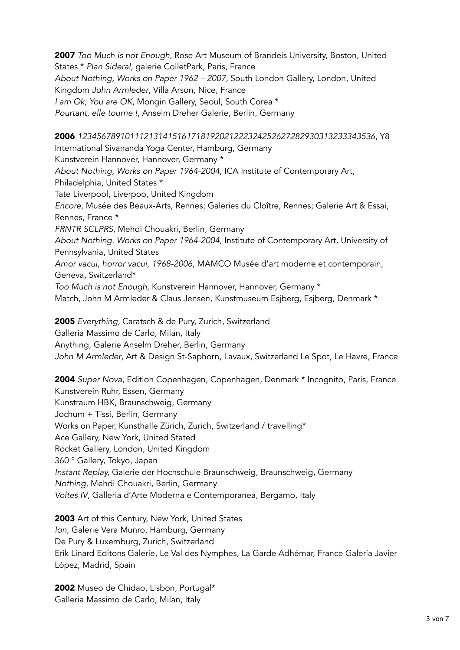2007 *Too Much is not Enough*, Rose Art Museum of Brandeis University, Boston, United States \* *Plan Sideral*, galerie ColletPark, Paris, France *About Nothing, Works on Paper 1962 – 2007*, South London Gallery, London, United Kingdom *John Armleder*, Villa Arson, Nice, France *I am Ok, You are OK*, Mongin Gallery, Seoul, South Corea \* *Pourtant, elle tourne !*, Anselm Dreher Galerie, Berlin, Germany

2006 *123456789101112131415161718192021222324252627282930313233343536*, Y8 International Sivananda Yoga Center, Hamburg, Germany Kunstverein Hannover, Hannover, Germany \* *About Nothing, Works on Paper 1964-2004*, ICA Institute of Contemporary Art, Philadelphia, United States \* Tate Liverpool, Liverpoo, United Kingdom *Encore*, Musée des Beaux-Arts, Rennes; Galeries du Cloître, Rennes; Galerie Art & Essai, Rennes, France \* *FRNTR SCLPRS*, Mehdi Chouakri, Berlin, Germany *About Nothing. Works on Paper 1964-2004*, Institute of Contemporary Art, University of Pennsylvania, United States *Amor vacui, horror vacui, 1968-2006*, MAMCO Musée d'art moderne et contemporain, Geneva, Switzerland\* *Too Much is not Enough*, Kunstverein Hannover, Hannover, Germany \* Match, John M Armleder & Claus Jensen, Kunstmuseum Esjberg, Esjberg, Denmark \*

2005 *Everything*, Caratsch & de Pury, Zurich, Switzerland Galleria Massimo de Carlo, Milan, Italy Anything, Galerie Anselm Dreher, Berlin, Germany *John M Armleder*, Art & Design St-Saphorn, Lavaux, Switzerland Le Spot, Le Havre, France

2004 *Super Nova*, Edition Copenhagen, Copenhagen, Denmark \* Incognito, Paris, France Kunstverein Ruhr, Essen, Germany Kunstraum HBK, Braunschweig, Germany Jochum + Tissi, Berlin, Germany Works on Paper, Kunsthalle Zürich, Zurich, Switzerland / travelling\* Ace Gallery, New York, United Stated Rocket Gallery, London, United Kingdom 360 ° Gallery, Tokyo, Japan *Instant Replay,* Galerie der Hochschule Braunschweig, Braunschweig, Germany *Nothing*, Mehdi Chouakri, Berlin, Germany *Voltes IV*, Galleria d'Arte Moderna e Contemporanea, Bergamo, Italy

2003 Art of this Century, New York, United States *Ion*, Galerie Vera Munro, Hamburg, Germany De Pury & Luxemburg, Zurich, Switzerland Erik Linard Editons Galerie, Le Val des Nymphes, La Garde Adhémar, France Galería Javier López, Madrid, Spain

2002 Museo de Chidao, Lisbon, Portugal\* Galleria Massimo de Carlo, Milan, Italy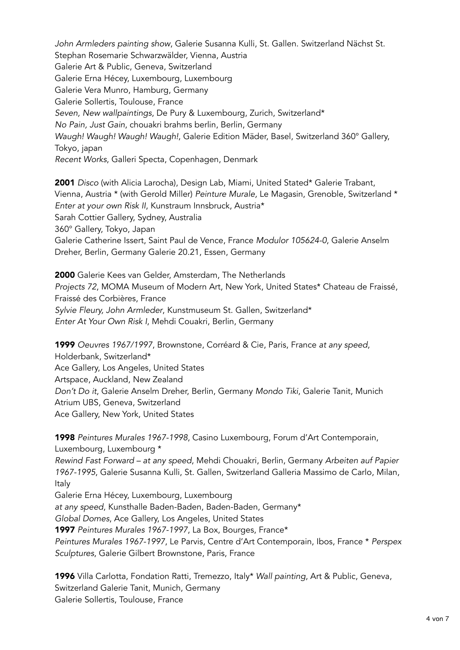*John Armleders painting show*, Galerie Susanna Kulli, St. Gallen. Switzerland Nächst St. Stephan Rosemarie Schwarzwälder, Vienna, Austria Galerie Art & Public, Geneva, Switzerland Galerie Erna Hécey, Luxembourg, Luxembourg Galerie Vera Munro, Hamburg, Germany Galerie Sollertis, Toulouse, France *Seven, New wallpaintings*, De Pury & Luxembourg, Zurich, Switzerland\* *No Pain, Just Gain*, chouakri brahms berlin, Berlin, Germany *Waugh! Waugh! Waugh! Waugh!*, Galerie Edition Mäder, Basel, Switzerland 360° Gallery, Tokyo, japan *Recent Works*, Galleri Specta, Copenhagen, Denmark

2001 *Disco* (with Alicia Larocha), Design Lab, Miami, United Stated\* Galerie Trabant, Vienna, Austria \* (with Gerold Miller) *Peinture Murale,* Le Magasin, Grenoble, Switzerland \* *Enter at your own Risk II*, Kunstraum Innsbruck, Austria\* Sarah Cottier Gallery, Sydney, Australia 360° Gallery, Tokyo, Japan Galerie Catherine Issert, Saint Paul de Vence, France *Modulor 105624-0*, Galerie Anselm Dreher, Berlin, Germany Galerie 20.21, Essen, Germany

2000 Galerie Kees van Gelder, Amsterdam, The Netherlands *Projects 72*, MOMA Museum of Modern Art, New York, United States\* Chateau de Fraissé, Fraissé des Corbières, France *Sylvie Fleury, John Armleder*, Kunstmuseum St. Gallen, Switzerland\* *Enter At Your Own Risk I*, Mehdi Couakri, Berlin, Germany

1999 *Oeuvres 1967/1997*, Brownstone, Corréard & Cie, Paris, France *at any speed*, Holderbank, Switzerland\* Ace Gallery, Los Angeles, United States Artspace, Auckland, New Zealand *Don't Do it*, Galerie Anselm Dreher, Berlin, Germany *Mondo Tiki*, Galerie Tanit, Munich Atrium UBS, Geneva, Switzerland Ace Gallery, New York, United States

1998 *Peintures Murales 1967-1998*, Casino Luxembourg, Forum d'Art Contemporain, Luxembourg, Luxembourg \* *Rewind Fast Forward – at any speed*, Mehdi Chouakri, Berlin, Germany *Arbeiten auf Papier 1967-1995*, Galerie Susanna Kulli, St. Gallen, Switzerland Galleria Massimo de Carlo, Milan, Italy Galerie Erna Hécey, Luxembourg, Luxembourg *at any speed*, Kunsthalle Baden-Baden, Baden-Baden, Germany\* *Global Domes*, Ace Gallery, Los Angeles, United States 1997 *Peintures Murales 1967-1997*, La Box, Bourges, France\* *Peintures Murales 1967-1997*, Le Parvis, Centre d'Art Contemporain, Ibos, France \* *Perspex* 

*Sculptures*, Galerie Gilbert Brownstone, Paris, France

1996 Villa Carlotta, Fondation Ratti, Tremezzo, Italy\* *Wall painting*, Art & Public, Geneva, Switzerland Galerie Tanit, Munich, Germany Galerie Sollertis, Toulouse, France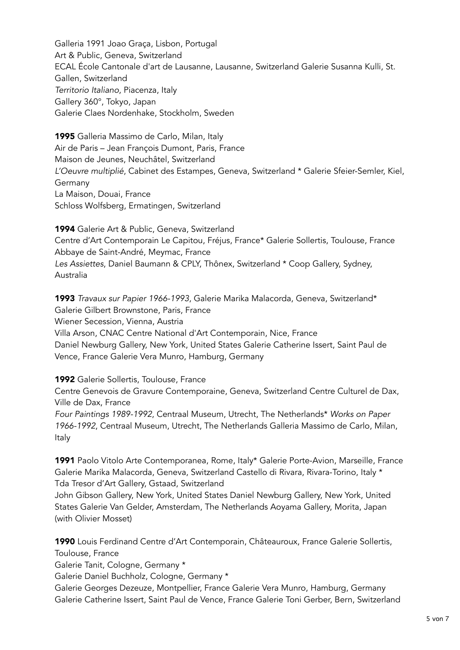Galleria 1991 Joao Graça, Lisbon, Portugal Art & Public, Geneva, Switzerland ECAL École Cantonale d'art de Lausanne, Lausanne, Switzerland Galerie Susanna Kulli, St. Gallen, Switzerland *Territorio Italiano*, Piacenza, Italy Gallery 360°, Tokyo, Japan Galerie Claes Nordenhake, Stockholm, Sweden

1995 Galleria Massimo de Carlo, Milan, Italy Air de Paris – Jean François Dumont, Paris, France Maison de Jeunes, Neuchâtel, Switzerland *L'Oeuvre multiplié*, Cabinet des Estampes, Geneva, Switzerland \* Galerie Sfeier-Semler, Kiel, Germany La Maison, Douai, France Schloss Wolfsberg, Ermatingen, Switzerland

1994 Galerie Art & Public, Geneva, Switzerland Centre d'Art Contemporain Le Capitou, Fréjus, France\* Galerie Sollertis, Toulouse, France Abbaye de Saint-André, Meymac, France *Les Assiettes*, Daniel Baumann & CPLY, Thônex, Switzerland \* Coop Gallery, Sydney, Australia

1993 *Travaux sur Papier 1966-1993*, Galerie Marika Malacorda, Geneva, Switzerland\* Galerie Gilbert Brownstone, Paris, France Wiener Secession, Vienna, Austria Villa Arson, CNAC Centre National d'Art Contemporain, Nice, France Daniel Newburg Gallery, New York, United States Galerie Catherine Issert, Saint Paul de Vence, France Galerie Vera Munro, Hamburg, Germany

1992 Galerie Sollertis, Toulouse, France

Centre Genevois de Gravure Contemporaine, Geneva, Switzerland Centre Culturel de Dax, Ville de Dax, France

*Four Paintings 1989-1992*, Centraal Museum, Utrecht, The Netherlands\* *Works on Paper 1966-1992*, Centraal Museum, Utrecht, The Netherlands Galleria Massimo de Carlo, Milan, Italy

1991 Paolo Vitolo Arte Contemporanea, Rome, Italy\* Galerie Porte-Avion, Marseille, France Galerie Marika Malacorda, Geneva, Switzerland Castello di Rivara, Rivara-Torino, Italy \* Tda Tresor d'Art Gallery, Gstaad, Switzerland

John Gibson Gallery, New York, United States Daniel Newburg Gallery, New York, United States Galerie Van Gelder, Amsterdam, The Netherlands Aoyama Gallery, Morita, Japan (with Olivier Mosset)

1990 Louis Ferdinand Centre d'Art Contemporain, Châteauroux, France Galerie Sollertis, Toulouse, France

Galerie Tanit, Cologne, Germany \*

Galerie Daniel Buchholz, Cologne, Germany \*

Galerie Georges Dezeuze, Montpellier, France Galerie Vera Munro, Hamburg, Germany Galerie Catherine Issert, Saint Paul de Vence, France Galerie Toni Gerber, Bern, Switzerland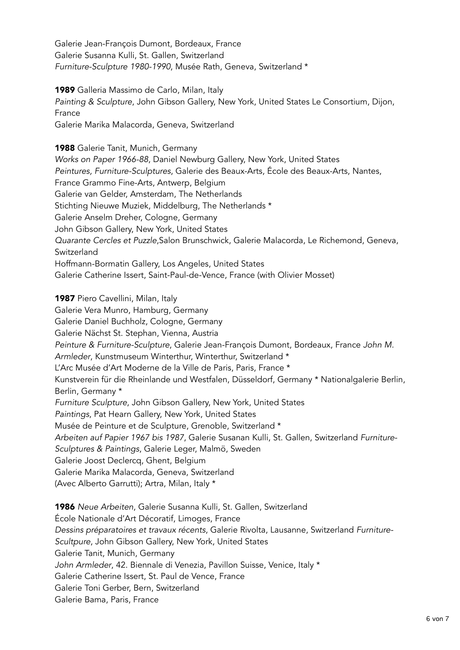Galerie Jean-François Dumont, Bordeaux, France Galerie Susanna Kulli, St. Gallen, Switzerland *Furniture-Sculpture 1980-1990*, Musée Rath, Geneva, Switzerland \*

1989 Galleria Massimo de Carlo, Milan, Italy *Painting & Sculpture*, John Gibson Gallery, New York, United States Le Consortium, Dijon, France Galerie Marika Malacorda, Geneva, Switzerland

1988 Galerie Tanit, Munich, Germany *Works on Paper 1966-88*, Daniel Newburg Gallery, New York, United States *Peintures, Furniture-Sculptures*, Galerie des Beaux-Arts, École des Beaux-Arts, Nantes, France Grammo Fine-Arts, Antwerp, Belgium Galerie van Gelder, Amsterdam, The Netherlands Stichting Nieuwe Muziek, Middelburg, The Netherlands \* Galerie Anselm Dreher, Cologne, Germany John Gibson Gallery, New York, United States *Quarante Cercles et Puzzle*,Salon Brunschwick, Galerie Malacorda, Le Richemond, Geneva, **Switzerland** Hoffmann-Bormatin Gallery, Los Angeles, United States Galerie Catherine Issert, Saint-Paul-de-Vence, France (with Olivier Mosset)

1987 Piero Cavellini, Milan, Italy Galerie Vera Munro, Hamburg, Germany Galerie Daniel Buchholz, Cologne, Germany Galerie Nächst St. Stephan, Vienna, Austria *Peinture & Furniture-Sculpture*, Galerie Jean-François Dumont, Bordeaux, France *John M. Armleder*, Kunstmuseum Winterthur, Winterthur, Switzerland \* L'Arc Musée d'Art Moderne de la Ville de Paris, Paris, France \* Kunstverein für die Rheinlande und Westfalen, Düsseldorf, Germany \* Nationalgalerie Berlin, Berlin, Germany \* *Furniture Sculpture*, John Gibson Gallery, New York, United States *Paintings*, Pat Hearn Gallery, New York, United States Musée de Peinture et de Sculpture, Grenoble, Switzerland \* *Arbeiten auf Papier 1967 bis 1987*, Galerie Susanan Kulli, St. Gallen, Switzerland *Furniture-Sculptures & Paintings*, Galerie Leger, Malmö, Sweden Galerie Joost Declercq, Ghent, Belgium Galerie Marika Malacorda, Geneva, Switzerland (Avec Alberto Garrutti); Artra, Milan, Italy \*

1986 *Neue Arbeiten*, Galerie Susanna Kulli, St. Gallen, Switzerland École Nationale d'Art Décoratif, Limoges, France *Dessins préparatoires et travaux récents*, Galerie Rivolta, Lausanne, Switzerland *Furniture-Scultpure*, John Gibson Gallery, New York, United States Galerie Tanit, Munich, Germany *John Armleder*, 42. Biennale di Venezia, Pavillon Suisse, Venice, Italy \* Galerie Catherine Issert, St. Paul de Vence, France Galerie Toni Gerber, Bern, Switzerland Galerie Bama, Paris, France